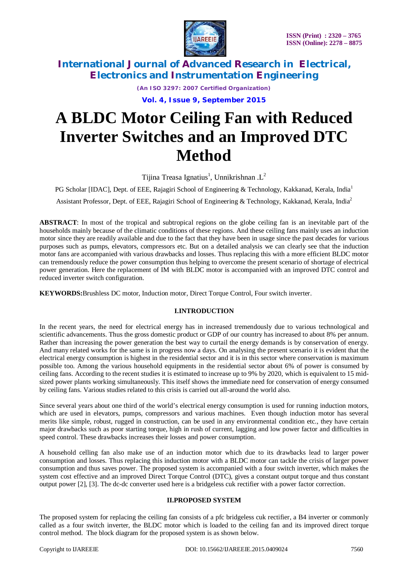

*(An ISO 3297: 2007 Certified Organization)*

**Vol. 4, Issue 9, September 2015**

# **A BLDC Motor Ceiling Fan with Reduced Inverter Switches and an Improved DTC Method**

Tijina Treasa Ignatius<sup>1</sup>, Unnikrishnan .L<sup>2</sup>

PG Scholar [IDAC], Dept. of EEE, Rajagiri School of Engineering & Technology, Kakkanad, Kerala, India<sup>1</sup>

Assistant Professor, Dept. of EEE, Rajagiri School of Engineering & Technology, Kakkanad, Kerala, India<sup>2</sup>

**ABSTRACT**: In most of the tropical and subtropical regions on the globe ceiling fan is an inevitable part of the households mainly because of the climatic conditions of these regions. And these ceiling fans mainly uses an induction motor since they are readily available and due to the fact that they have been in usage since the past decades for various purposes such as pumps, elevators, compressors etc. But on a detailed analysis we can clearly see that the induction motor fans are accompanied with various drawbacks and losses. Thus replacing this with a more efficient BLDC motor can tremendously reduce the power consumption thus helping to overcome the present scenario of shortage of electrical power generation. Here the replacement of IM with BLDC motor is accompanied with an improved DTC control and reduced inverter switch configuration.

**KEYWORDS:**Brushless DC motor, Induction motor, Direct Torque Control, Four switch inverter.

#### **I.INTRODUCTION**

In the recent years, the need for electrical energy has in increased tremendously due to various technological and scientific advancements. Thus the gross domestic product or GDP of our country has increased to about 8% per annum. Rather than increasing the power generation the best way to curtail the energy demands is by conservation of energy. And many related works for the same is in progress now a days. On analysing the present scenario it is evident that the electrical energy consumption is highest in the residential sector and it is in this sector where conservation is maximum possible too. Among the various household equipments in the residential sector about 6% of power is consumed by ceiling fans. According to the recent studies it is estimated to increase up to 9% by 2020, which is equivalent to 15 midsized power plants working simultaneously. This itself shows the immediate need for conservation of energy consumed by ceiling fans. Various studies related to this crisis is carried out all-around the world also.

Since several years about one third of the world's electrical energy consumption is used for running induction motors, which are used in elevators, pumps, compressors and various machines. Even though induction motor has several merits like simple, robust, rugged in construction, can be used in any environmental condition etc., they have certain major drawbacks such as poor starting torque, high in rush of current, lagging and low power factor and difficulties in speed control. These drawbacks increases their losses and power consumption.

A household celling fan also make use of an induction motor which due to its drawbacks lead to larger power consumption and losses. Thus replacing this induction motor with a BLDC motor can tackle the crisis of larger power consumption and thus saves power. The proposed system is accompanied with a four switch inverter, which makes the system cost effective and an improved Direct Torque Control (DTC), gives a constant output torque and thus constant output power [2], [3]. The dc-dc converter used here is a bridgeless cuk rectifier with a power factor correction.

#### **II.PROPOSED SYSTEM**

The proposed system for replacing the ceiling fan consists of a pfc bridgeless cuk rectifier, a B4 inverter or commonly called as a four switch inverter, the BLDC motor which is loaded to the ceiling fan and its improved direct torque control method. The block diagram for the proposed system is as shown below.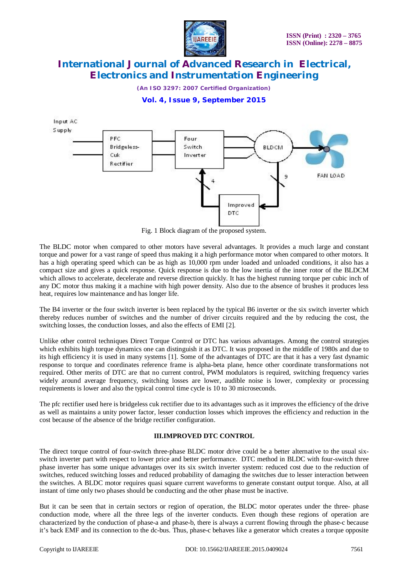

*(An ISO 3297: 2007 Certified Organization)*

## **Vol. 4, Issue 9, September 2015**



Fig. 1 Block diagram of the proposed system.

The BLDC motor when compared to other motors have several advantages. It provides a much large and constant torque and power for a vast range of speed thus making it a high performance motor when compared to other motors. It has a high operating speed which can be as high as 10,000 rpm under loaded and unloaded conditions, it also has a compact size and gives a quick response. Quick response is due to the low inertia of the inner rotor of the BLDCM which allows to accelerate, decelerate and reverse direction quickly. It has the highest running torque per cubic inch of any DC motor thus making it a machine with high power density. Also due to the absence of brushes it produces less heat, requires low maintenance and has longer life.

The B4 inverter or the four switch inverter is been replaced by the typical B6 inverter or the six switch inverter which thereby reduces number of switches and the number of driver circuits required and the by reducing the cost, the switching losses, the conduction losses, and also the effects of EMI [2].

Unlike other control techniques Direct Torque Control or DTC has various advantages. Among the control strategies which exhibits high torque dynamics one can distinguish it as DTC. It was proposed in the middle of 1980s and due to its high efficiency it is used in many systems [1]. Some of the advantages of DTC are that it has a very fast dynamic response to torque and coordinates reference frame is alpha-beta plane, hence other coordinate transformations not required. Other merits of DTC are that no current control, PWM modulators is required, switching frequency varies widely around average frequency, switching losses are lower, audible noise is lower, complexity or processing requirements is lower and also the typical control time cycle is 10 to 30 microseconds.

The pfc rectifier used here is bridgeless cuk rectifier due to its advantages such as it improves the efficiency of the drive as well as maintains a unity power factor, lesser conduction losses which improves the efficiency and reduction in the cost because of the absence of the bridge rectifier configuration.

#### **III.IMPROVED DTC CONTROL**

The direct torque control of four-switch three-phase BLDC motor drive could be a better alternative to the usual sixswitch inverter part with respect to lower price and better performance. DTC method in BLDC with four-switch three phase inverter has some unique advantages over its six switch inverter system: reduced cost due to the reduction of switches, reduced switching losses and reduced probability of damaging the switches due to lesser interaction between the switches. A BLDC motor requires quasi square current waveforms to generate constant output torque. Also, at all instant of time only two phases should be conducting and the other phase must be inactive.

But it can be seen that in certain sectors or region of operation, the BLDC motor operates under the three- phase conduction mode, where all the three legs of the inverter conducts. Even though these regions of operation are characterized by the conduction of phase-a and phase-b, there is always a current flowing through the phase-c because it's back EMF and its connection to the dc-bus. Thus, phase-c behaves like a generator which creates a torque opposite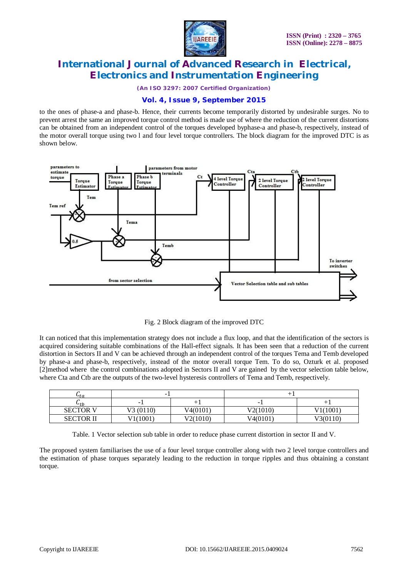

*(An ISO 3297: 2007 Certified Organization)*

## **Vol. 4, Issue 9, September 2015**

to the ones of phase-a and phase-b. Hence, their currents become temporarily distorted by undesirable surges. No to prevent arrest the same an improved torque control method is made use of where the reduction of the current distortions can be obtained from an independent control of the torques developed byphase-a and phase-b, respectively, instead of the motor overall torque using two l and four level torque controllers. The block diagram for the improved DTC is as shown below.



Fig. 2 Block diagram of the improved DTC

It can noticed that this implementation strategy does not include a flux loop, and that the identification of the sectors is acquired considering suitable combinations of the Hall-effect signals. It has been seen that a reduction of the current distortion in Sectors II and V can be achieved through an independent control of the torques Tema and Temb developed by phase-a and phase-b, respectively, instead of the motor overall torque Tem. To do so, Ozturk et al. proposed [2]method where the control combinations adopted in Sectors II and V are gained by the vector selection table below, where Cta and Ctb are the outputs of the two-level hysteresis controllers of Tema and Temb, respectively.

| $u_{ta}$          | -        |          |                          |          |
|-------------------|----------|----------|--------------------------|----------|
| $\mathbf{u}_{th}$ | -        |          | $\overline{\phantom{a}}$ |          |
| <b>SECTOR V</b>   | V3(0110) | V4(0101) | V2(1010)                 | (1001    |
| <b>SECTOR II</b>  | 1001     | V2(1010) | V4(0101)                 | V3(0110) |

Table. 1 Vector selection sub table in order to reduce phase current distortion in sector II and V.

The proposed system familiarises the use of a four level torque controller along with two 2 level torque controllers and the estimation of phase torques separately leading to the reduction in torque ripples and thus obtaining a constant torque.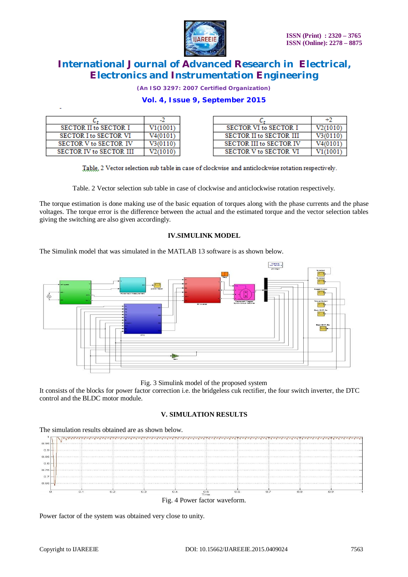

*(An ISO 3297: 2007 Certified Organization)*

## **Vol. 4, Issue 9, September 2015**

| SECTOR II to SECTOR I        | V1(1001) | SECTOR VI to SECTOR I          | V2(1010) |
|------------------------------|----------|--------------------------------|----------|
| <b>SECTOR I to SECTOR VI</b> | V4(0101) | <b>SECTOR II to SECTOR III</b> | V300110  |
| SECTOR V to SECTOR IV        | V3(0110) | <b>SECTOR III to SECTOR IV</b> | V4(0101  |
| SECTOR IV to SECTOR III      | V2(1010) | <b>SECTOR V to SECTOR VI</b>   |          |

Table, 2 Vector selection sub table in case of clockwise and anticlockwise rotation respectively.

Table. 2 Vector selection sub table in case of clockwise and anticlockwise rotation respectively.

The torque estimation is done making use of the basic equation of torques along with the phase currents and the phase voltages. The torque error is the difference between the actual and the estimated torque and the vector selection tables giving the switching are also given accordingly.

#### **IV.SIMULINK MODEL**

The Simulink model that was simulated in the MATLAB 13 software is as shown below.



Fig. 3 Simulink model of the proposed system

It consists of the blocks for power factor correction i.e. the bridgeless cuk rectifier, the four switch inverter, the DTC control and the BLDC motor module.

#### **V. SIMULATION RESULTS**



Power factor of the system was obtained very close to unity.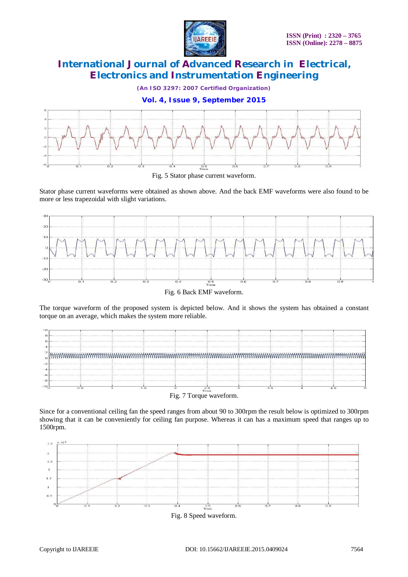

*(An ISO 3297: 2007 Certified Organization)*

### **Vol. 4, Issue 9, September 2015**



Fig. 5 Stator phase current waveform.

Stator phase current waveforms were obtained as shown above. And the back EMF waveforms were also found to be more or less trapezoidal with slight variations.



Fig. 6 Back EMF waveform.

The torque waveform of the proposed system is depicted below. And it shows the system has obtained a constant torque on an average, which makes the system more reliable.



Fig. 7 Torque waveform.

Since for a conventional ceiling fan the speed ranges from about 90 to 300rpm the result below is optimized to 300rpm showing that it can be conveniently for ceiling fan purpose. Whereas it can has a maximum speed that ranges up to 1500rpm.